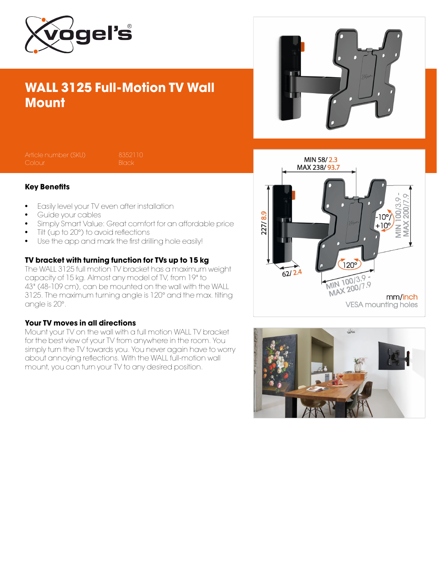

## WALL 3125 Full-Motion TV Wall **Mount**



Article number (SKU) 8352110

#### Key Benefits

- Easily level your TV even after installation
- Guide your cables
- Simply Smart Value: Great comfort for an affordable price
- Tilt (up to 20°) to avoid reflections
- Use the app and mark the first drilling hole easily!

#### TV bracket with turning function for TVs up to 15 kg

The WALL 3125 full motion TV bracket has a maximum weight capacity of 15 kg. Almost any model of TV, from 19" to 43" (48-109 cm), can be mounted on the wall with the WALL 3125. The maximum turning angle is 120° and the max. tilting angle is 20°.

#### Your TV moves in all directions

Mount your TV on the wall with a full motion WALL TV bracket for the best view of your TV from anywhere in the room. You simply turn the TV towards you. You never again have to worry about annoying reflections. With the WALL full-motion wall mount, you can turn your TV to any desired position.